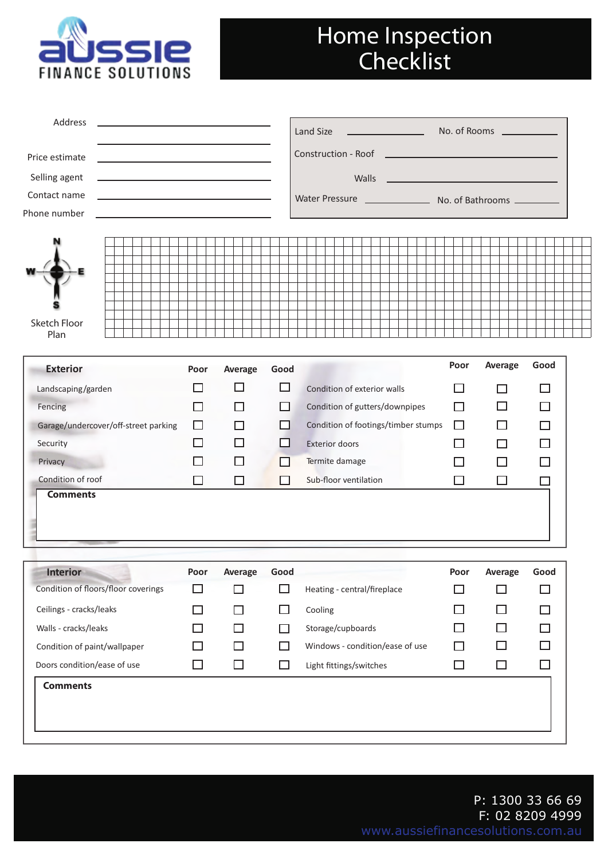

## Home Inspection **Checklist**

| Address<br>the control of the control of the control of the control of the control of |                             |                   |        | Land Size<br><u> 1990 - Jan Barnett, fransk politiker (</u>                                                                    |         | No. of Rooms ____________ |        |
|---------------------------------------------------------------------------------------|-----------------------------|-------------------|--------|--------------------------------------------------------------------------------------------------------------------------------|---------|---------------------------|--------|
| Price estimate                                                                        |                             |                   |        |                                                                                                                                |         |                           |        |
| Selling agent<br><u> 1989 - Johann Barbara, martxa alemaniar arg</u>                  |                             |                   |        | Walls<br><u> 1989 - Andrea State Barbara, amerikan personal di personal dengan personal dengan personal dengan personal de</u> |         |                           |        |
| Contact name<br><u> 1989 - Johann Barbara, martxa alemaniar a</u>                     |                             |                   |        | Water Pressure Mo. of Bathrooms ________                                                                                       |         |                           |        |
| Phone number<br><u> 1989 - Johann Barbara, martxa alemaniar a</u>                     |                             |                   |        |                                                                                                                                |         |                           |        |
| Sketch Floor<br>Plan                                                                  |                             |                   |        |                                                                                                                                |         |                           |        |
| <b>Exterior</b>                                                                       | Poor                        | Average           | Good   |                                                                                                                                | Poor    | Average                   | Good   |
| Landscaping/garden                                                                    | ΙI                          | H                 | □      | Condition of exterior walls                                                                                                    | $\perp$ | ΙI                        | $\Box$ |
| Fencing                                                                               | П                           | ΙI                | LΙ     | Condition of gutters/downpipes                                                                                                 | П       | П                         | $\Box$ |
| Garage/undercover/off-street parking                                                  | □                           |                   | ΙI     | Condition of footings/timber stumps                                                                                            | $\Box$  | П                         | □      |
| Security                                                                              | ΙI                          |                   | ΙI     | <b>Exterior doors</b>                                                                                                          |         | $\Box$                    | П      |
| Privacy                                                                               | $\blacksquare$              | H                 | ΙI     | Termite damage                                                                                                                 |         | $\mathsf{L}$              | LI     |
| Condition of roof                                                                     | П                           | $\Box$            | ΙI     | Sub-floor ventilation                                                                                                          | $\Box$  | П                         | $\Box$ |
| <b>Comments</b>                                                                       |                             |                   |        |                                                                                                                                |         |                           |        |
| <b>Interior</b>                                                                       |                             | Poor Average Good |        |                                                                                                                                |         | Poor Average              | Good   |
| Condition of floors/floor coverings                                                   | □                           | П                 | □      | Heating - central/fireplace                                                                                                    | П       | П                         | □      |
| Ceilings - cracks/leaks                                                               | $\Box$                      | H                 | П      | Cooling                                                                                                                        |         | $\Box$                    | $\Box$ |
| Walls - cracks/leaks                                                                  | $\Box$                      |                   | $\Box$ | Storage/cupboards                                                                                                              |         | $\Box$                    | $\Box$ |
| Condition of paint/wallpaper                                                          | $\mathcal{L}_{\mathcal{A}}$ |                   | ΙI     | Windows - condition/ease of use                                                                                                |         | $\Box$                    | □      |
| Doors condition/ease of use                                                           | $\Box$                      | ⊔                 | ப      | Light fittings/switches                                                                                                        | □       | $\Box$                    | $\Box$ |
| <b>Comments</b>                                                                       |                             |                   |        |                                                                                                                                |         |                           |        |